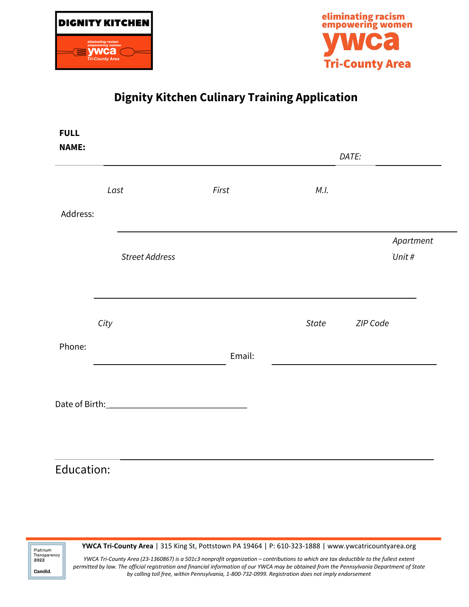



## **Dignity Kitchen Culinary Training Application**

| <b>NAME:</b> |                       |        |       | DATE:               |
|--------------|-----------------------|--------|-------|---------------------|
|              | Last                  | First  | M.I.  |                     |
| Address:     |                       |        |       |                     |
|              | <b>Street Address</b> |        |       | Apartment<br>Unit # |
|              | City                  |        | State | ZIP Code            |
| Phone:       |                       | Email: |       |                     |
|              |                       |        |       |                     |

## Education:

Platinum<br>Transparency  $2022$ Candid.

**YWCA Tri-County Area** | 315 King St, Pottstown PA 19464 | P: 610-323-1888 | www.ywcatricountyarea.org

*YWCA Tri-County Area (23-1360867) is a 501c3 nonprofit organization – contributions to which are tax deductible to the fullest extent permitted by law. The official registration and financial information of our YWCA may be obtained from the Pennsylvania Department of State by calling toll free, within Pennsylvania, 1-800-732-0999. Registration does not imply endorsement*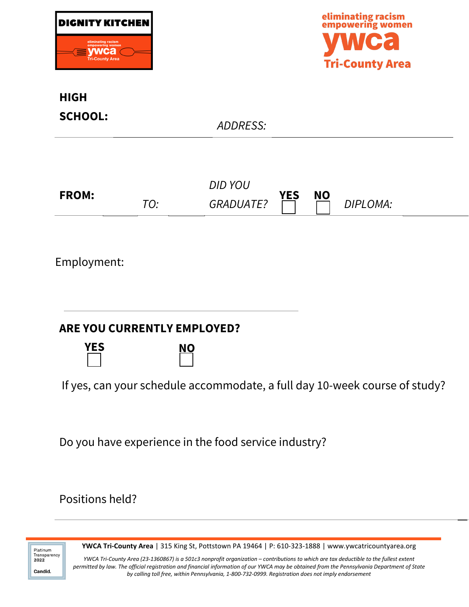| DIGNITY KITCHEN                                                                |
|--------------------------------------------------------------------------------|
| eliminating racism<br>empowering women<br><u>wca</u><br><b>Tri-County Area</b> |



## **HIGH SCHOOL:**  *ADDRESS:* **FROM:** *TO: DID YOU GRADUATE?* **YES NO** *DIPLOMA:* Employment: **YES NO ARE YOU CURRENTLY EMPLOYED?**  If yes, can your schedule accommodate, a full day 10-week course of study? Do you have experience in the food service industry?

Positions held?

Platinum Transparency 2022 Candid.

**YWCA Tri-County Area** | 315 King St, Pottstown PA 19464 | P: 610-323-1888 | www.ywcatricountyarea.org

*YWCA Tri-County Area (23-1360867) is a 501c3 nonprofit organization – contributions to which are tax deductible to the fullest extent permitted by law. The official registration and financial information of our YWCA may be obtained from the Pennsylvania Department of State by calling toll free, within Pennsylvania, 1-800-732-0999. Registration does not imply endorsement*